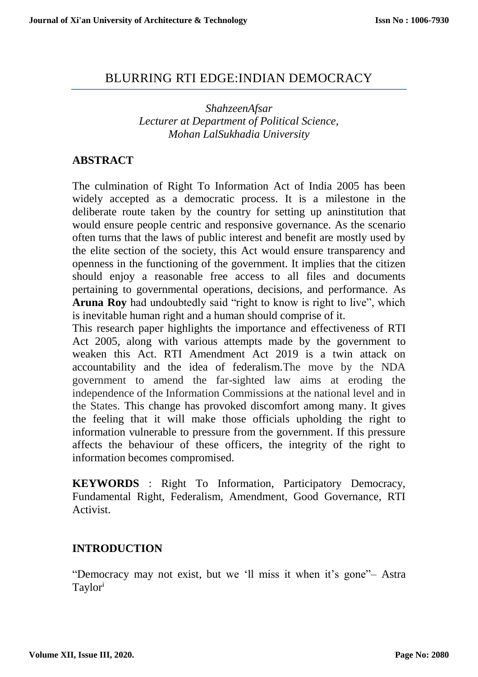## BLURRING RTI EDGE:INDIAN DEMOCRACY

*ShahzeenAfsar Lecturer at Department of Political Science, Mohan LalSukhadia University*

#### **ABSTRACT**

The culmination of Right To Information Act of India 2005 has been widely accepted as a democratic process. It is a milestone in the deliberate route taken by the country for setting up aninstitution that would ensure people centric and responsive governance. As the scenario often turns that the laws of public interest and benefit are mostly used by the elite section of the society, this Act would ensure transparency and openness in the functioning of the government. It implies that the citizen should enjoy a reasonable free access to all files and documents pertaining to governmental operations, decisions, and performance. As **Aruna Roy** had undoubtedly said "right to know is right to live", which is inevitable human right and a human should comprise of it.

This research paper highlights the importance and effectiveness of RTI Act 2005, along with various attempts made by the government to weaken this Act. RTI Amendment Act 2019 is a twin attack on accountability and the idea of federalism.The move by the NDA government to amend the far-sighted law aims at eroding the independence of the Information Commissions at the national level and in the States. This change has provoked discomfort among many. It gives the feeling that it will make those officials upholding the right to information vulnerable to pressure from the government. If this pressure affects the behaviour of these officers, the integrity of the right to information becomes compromised.

**KEYWORDS** : Right To Information, Participatory Democracy, Fundamental Right, Federalism, Amendment, Good Governance, RTI Activist.

#### **INTRODUCTION**

"Democracy may not exist, but we 'll miss it when it's gone"– Astra Taylor<sup>i</sup>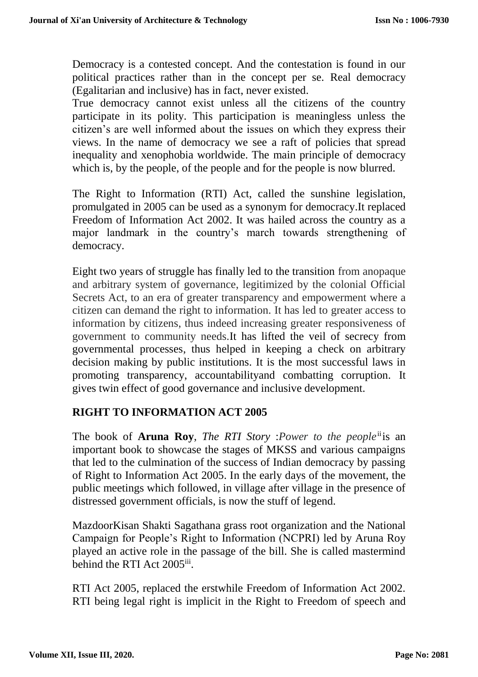Democracy is a contested concept. And the contestation is found in our political practices rather than in the concept per se. Real democracy (Egalitarian and inclusive) has in fact, never existed.

True democracy cannot exist unless all the citizens of the country participate in its polity. This participation is meaningless unless the citizen's are well informed about the issues on which they express their views. In the name of democracy we see a raft of policies that spread inequality and xenophobia worldwide. The main principle of democracy which is, by the people, of the people and for the people is now blurred.

The Right to Information (RTI) Act, called the sunshine legislation, promulgated in 2005 can be used as a synonym for democracy.It replaced Freedom of Information Act 2002. It was hailed across the country as a major landmark in the country's march towards strengthening of democracy.

Eight two years of struggle has finally led to the transition from anopaque and arbitrary system of governance, legitimized by the colonial Official Secrets Act, to an era of greater transparency and empowerment where a citizen can demand the right to information. It has led to greater access to information by citizens, thus indeed increasing greater responsiveness of government to community needs.It has lifted the veil of secrecy from governmental processes, thus helped in keeping a check on arbitrary decision making by public institutions. It is the most successful laws in promoting transparency, accountabilityand combatting corruption. It gives twin effect of good governance and inclusive development.

# **RIGHT TO INFORMATION ACT 2005**

The book of **Aruna Roy**, *The RTI Story* :*Power to the people*<sup>ii</sup>s an important book to showcase the stages of MKSS and various campaigns that led to the culmination of the success of Indian democracy by passing of Right to Information Act 2005. In the early days of the movement, the public meetings which followed, in village after village in the presence of distressed government officials, is now the stuff of legend.

MazdoorKisan Shakti Sagathana grass root organization and the National Campaign for People's Right to Information (NCPRI) led by Aruna Roy played an active role in the passage of the bill. She is called mastermind behind the RTI Act 2005<sup>iii</sup>.

RTI Act 2005, replaced the erstwhile Freedom of Information Act 2002. RTI being legal right is implicit in the Right to Freedom of speech and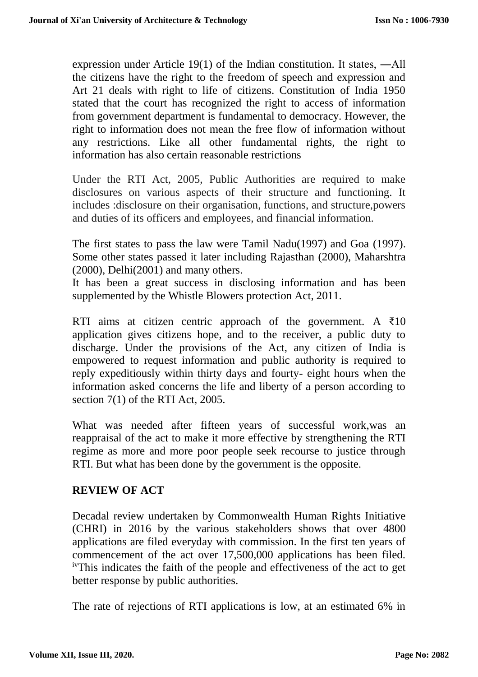expression under Article 19(1) of the Indian constitution. It states, ―All the citizens have the right to the freedom of speech and expression and Art 21 deals with right to life of citizens. Constitution of India 1950 stated that the court has recognized the right to access of information from government department is fundamental to democracy. However, the right to information does not mean the free flow of information without any restrictions. Like all other fundamental rights, the right to information has also certain reasonable restrictions

Under the RTI Act, 2005, Public Authorities are required to make disclosures on various aspects of their structure and functioning. It includes :disclosure on their organisation, functions, and structure,powers and duties of its officers and employees, and financial information.

The first states to pass the law were Tamil Nadu(1997) and Goa (1997). Some other states passed it later including Rajasthan (2000), Maharshtra  $(2000)$ , Delhi $(2001)$  and many others.

It has been a great success in disclosing information and has been supplemented by the Whistle Blowers protection Act, 2011.

RTI aims at citizen centric approach of the government. A  $\bar{\tau}10$ application gives citizens hope, and to the receiver, a public duty to discharge. Under the provisions of the Act, any citizen of India is empowered to request information and public authority is required to reply expeditiously within thirty days and fourty- eight hours when the information asked concerns the life and liberty of a person according to section 7(1) of the RTI Act, 2005.

What was needed after fifteen years of successful work,was an reappraisal of the act to make it more effective by strengthening the RTI regime as more and more poor people seek recourse to justice through RTI. But what has been done by the government is the opposite.

# **REVIEW OF ACT**

Decadal review undertaken by Commonwealth Human Rights Initiative (CHRI) in 2016 by the various stakeholders shows that over 4800 applications are filed everyday with commission. In the first ten years of commencement of the act over 17,500,000 applications has been filed. ivThis indicates the faith of the people and effectiveness of the act to get better response by public authorities.

The rate of rejections of RTI applications is low, at an estimated 6% in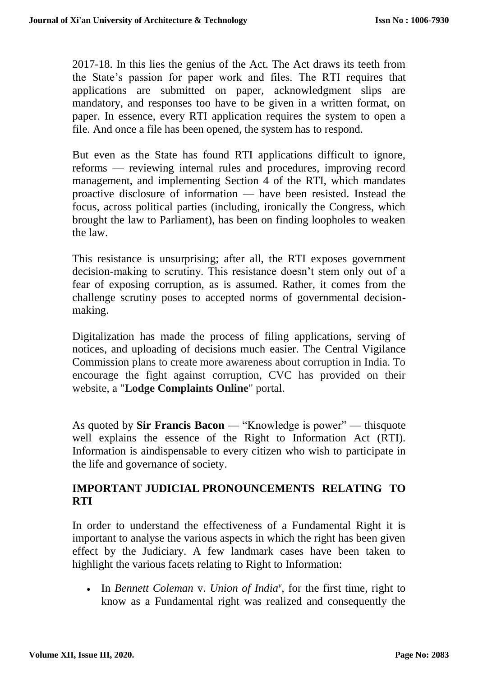2017-18. In this lies the genius of the Act. The Act draws its teeth from the State's passion for paper work and files. The RTI requires that applications are submitted on paper, acknowledgment slips are mandatory, and responses too have to be given in a written format, on paper. In essence, every RTI application requires the system to open a file. And once a file has been opened, the system has to respond.

But even as the State has found RTI applications difficult to ignore, reforms — reviewing internal rules and procedures, improving record management, and implementing Section 4 of the RTI, which mandates proactive disclosure of information — have been resisted. Instead the focus, across political parties (including, ironically the Congress, which brought the law to Parliament), has been on finding loopholes to weaken the law.

This resistance is unsurprising; after all, the RTI exposes government decision-making to scrutiny. This resistance doesn't stem only out of a fear of exposing corruption, as is assumed. Rather, it comes from the challenge scrutiny poses to accepted norms of governmental decisionmaking.

Digitalization has made the process of filing applications, serving of notices, and uploading of decisions much easier. The [Central Vigilance](https://en.wikipedia.org/wiki/Central_Vigilance_Commission)  [Commission](https://en.wikipedia.org/wiki/Central_Vigilance_Commission) plans to create more awareness about corruption in India. To encourage the fight against corruption, CVC has provided on their website, a "**Lodge Complaints Online**" portal.

As quoted by **Sir Francis Bacon** — "Knowledge is power" — thisquote well explains the essence of the Right to Information Act (RTI). Information is aindispensable to every citizen who wish to participate in the life and governance of society.

## **IMPORTANT JUDICIAL PRONOUNCEMENTS RELATING TO RTI**

In order to understand the effectiveness of a Fundamental Right it is important to analyse the various aspects in which the right has been given effect by the Judiciary. A few landmark cases have been taken to highlight the various facets relating to Right to Information:

• In *Bennett Coleman v. Union of India<sup>v</sup>*, for the first time, right to know as a Fundamental right was realized and consequently the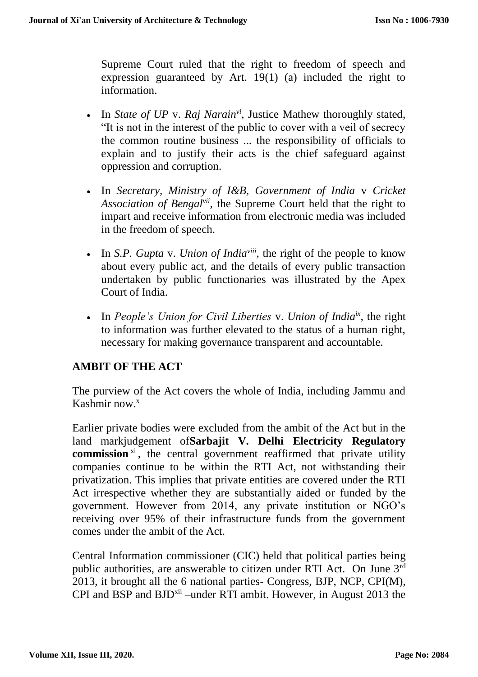Supreme Court ruled that the right to freedom of speech and expression guaranteed by Art. 19(1) (a) included the right to information.

- In *State of UP v. Raj Narain<sup>vi</sup>*, Justice Mathew thoroughly stated, "It is not in the interest of the public to cover with a veil of secrecy the common routine business ... the responsibility of officials to explain and to justify their acts is the chief safeguard against oppression and corruption.
- In *Secretary, Ministry of I&B, Government of India* v *Cricket*  Association of Bengal<sup>*vii*</sup>, the Supreme Court held that the right to impart and receive information from electronic media was included in the freedom of speech.
- In *S.P. Gupta v. Union of India<sup>viii</sup>*, the right of the people to know about every public act, and the details of every public transaction undertaken by public functionaries was illustrated by the Apex Court of India.
- In *People's Union for Civil Liberties v. Union of India<sup>ix</sup>, the right* to information was further elevated to the status of a human right, necessary for making governance transparent and accountable.

# **AMBIT OF THE ACT**

The purview of the Act covers the whole of India, including Jammu and Kashmir now. $x$ 

Earlier private bodies were excluded from the ambit of the Act but in the land markjudgement of**Sarbajit V. Delhi Electricity Regulatory commission**<sup>xi</sup>, the central government reaffirmed that private utility companies continue to be within the RTI Act, not withstanding their privatization. This implies that private entities are covered under the RTI Act irrespective whether they are substantially aided or funded by the government. However from 2014, any private institution or NGO's receiving over 95% of their infrastructure funds from the government comes under the ambit of the Act.

Central Information commissioner (CIC) held that political parties being public authorities, are answerable to citizen under RTI Act. On June 3rd 2013, it brought all the 6 national parties- Congress, BJP, NCP, CPI(M), CPI and BSP and BJD<sup>xii</sup> –under RTI ambit. However, in August 2013 the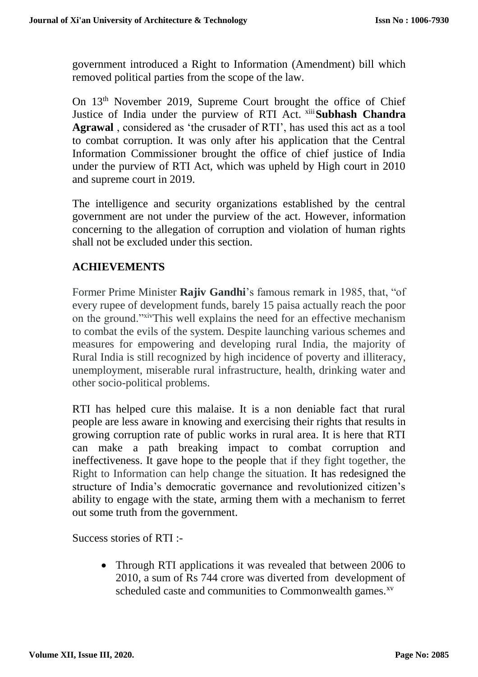government introduced a Right to Information (Amendment) bill which removed political parties from the scope of the law.

On 13th November 2019, Supreme Court brought the office of Chief Justice of India under the purview of RTI Act. xiii**Subhash Chandra Agrawal** , considered as 'the crusader of RTI', has used this act as a tool to combat corruption. It was only after his application that the Central Information Commissioner brought the office of chief justice of India under the purview of RTI Act, which was upheld by High court in 2010 and supreme court in 2019.

The intelligence and security organizations established by the central government are not under the purview of the act. However, information concerning to the allegation of corruption and violation of human rights shall not be excluded under this section.

## **ACHIEVEMENTS**

Former Prime Minister **Rajiv Gandhi**'s famous remark in 1985, that, "of every rupee of development funds, barely 15 paisa actually reach the poor on the ground."xivThis well explains the need for an effective mechanism to combat the evils of the system. Despite launching various schemes and measures for empowering and developing rural India, the majority of Rural India is still recognized by high incidence of poverty and illiteracy, unemployment, miserable rural infrastructure, health, drinking water and other socio-political problems.

RTI has helped cure this malaise. It is a non deniable fact that rural people are less aware in knowing and exercising their rights that results in growing corruption rate of public works in rural area. It is here that RTI can make a path breaking impact to combat corruption and ineffectiveness. It gave hope to the people that if they fight together, the Right to Information can help change the situation. It has redesigned the structure of India's democratic governance and revolutionized citizen's ability to engage with the state, arming them with a mechanism to ferret out some truth from the government.

Success stories of RTI :-

• Through RTI applications it was revealed that between 2006 to 2010, a sum of Rs 744 crore was diverted from development of scheduled caste and communities to Commonwealth games.<sup>xv</sup>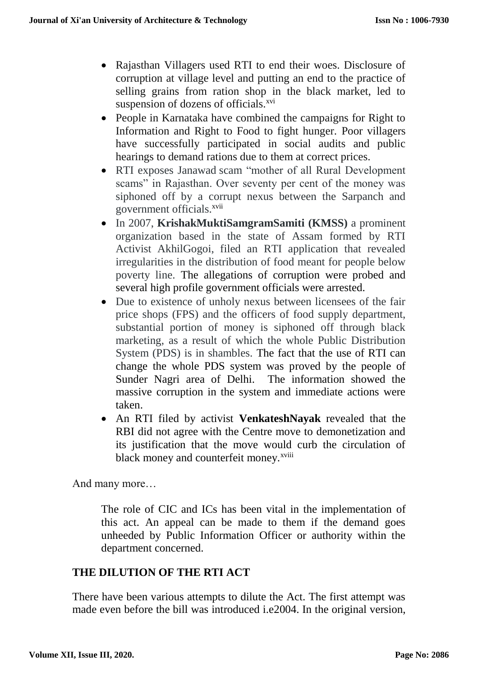- Rajasthan Villagers used RTI to end their woes. Disclosure of corruption at village level and putting an end to the practice of selling grains from ration shop in the black market, led to suspension of dozens of officials.<sup>xvi</sup>
- People in Karnataka have combined the campaigns for Right to Information and Right to Food to fight hunger. Poor villagers have successfully participated in social audits and public hearings to demand rations due to them at correct prices.
- RTI exposes Janawad scam "mother of all Rural Development scams" in Rajasthan. Over seventy per cent of the money was siphoned off by a corrupt nexus between the Sarpanch and government officials.<sup>xvii</sup>
- In 2007, **KrishakMuktiSamgramSamiti (KMSS)** a prominent organization based in the state of Assam formed by RTI Activist AkhilGogoi, filed an RTI application that revealed irregularities in the distribution of food meant for people below poverty line. The allegations of corruption were probed and several high profile government officials were arrested.
- Due to existence of unholy nexus between licensees of the fair price shops (FPS) and the officers of food supply department, substantial portion of money is siphoned off through black marketing, as a result of which the whole Public Distribution System (PDS) is in shambles. The fact that the use of RTI can change the whole PDS system was proved by the people of Sunder Nagri area of Delhi. The information showed the massive corruption in the system and immediate actions were taken.
- An RTI filed by activist **VenkateshNayak** revealed that the RBI did not agree with the Centre move to demonetization and its justification that the move would curb the circulation of black money and counterfeit money.<sup>xviii</sup>

And many more…

The role of CIC and ICs has been vital in the implementation of this act. An appeal can be made to them if the demand goes unheeded by Public Information Officer or authority within the department concerned.

#### **THE DILUTION OF THE RTI ACT**

There have been various attempts to dilute the Act. The first attempt was made even before the bill was introduced i.e2004. In the original version,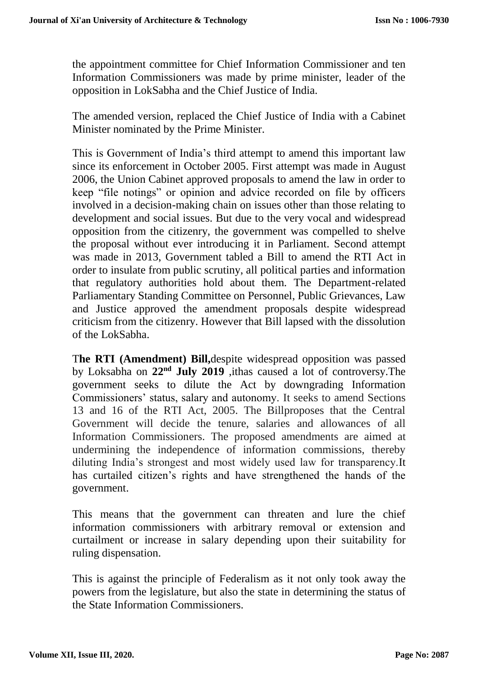the appointment committee for Chief Information Commissioner and ten Information Commissioners was made by prime minister, leader of the opposition in LokSabha and the Chief Justice of India.

The amended version, replaced the Chief Justice of India with a Cabinet Minister nominated by the Prime Minister.

This is Government of India's third attempt to amend this important law since its enforcement in October 2005. First attempt was made in August 2006, the Union Cabinet approved proposals to amend the law in order to keep "file notings" or opinion and advice recorded on file by officers involved in a decision-making chain on issues other than those relating to development and social issues. But due to the very vocal and widespread opposition from the citizenry, the government was compelled to shelve the proposal without ever introducing it in Parliament. Second attempt was made in 2013, Government tabled a Bill to amend the RTI Act in order to insulate from public scrutiny, all political parties and information that regulatory authorities hold about them. The Department-related Parliamentary Standing Committee on Personnel, Public Grievances, Law and Justice approved the amendment proposals despite widespread criticism from the citizenry. However that Bill lapsed with the dissolution of the LokSabha.

T**he RTI (Amendment) Bill,**despite widespread opposition was passed by Loksabha on **22nd July 2019** ,ithas caused a lot of controversy.The government seeks to dilute the Act by downgrading Information Commissioners' status, salary and autonomy. It seeks to amend Sections 13 and 16 of the RTI Act, 2005. The Billproposes that the Central Government will decide the tenure, salaries and allowances of all Information Commissioners. The proposed amendments are aimed at undermining the independence of information commissions, thereby diluting India's strongest and most widely used law for transparency.It has curtailed citizen's rights and have strengthened the hands of the government.

This means that the government can threaten and lure the chief information commissioners with arbitrary removal or extension and curtailment or increase in salary depending upon their suitability for ruling dispensation.

This is against the principle of Federalism as it not only took away the powers from the legislature, but also the state in determining the status of the State Information Commissioners.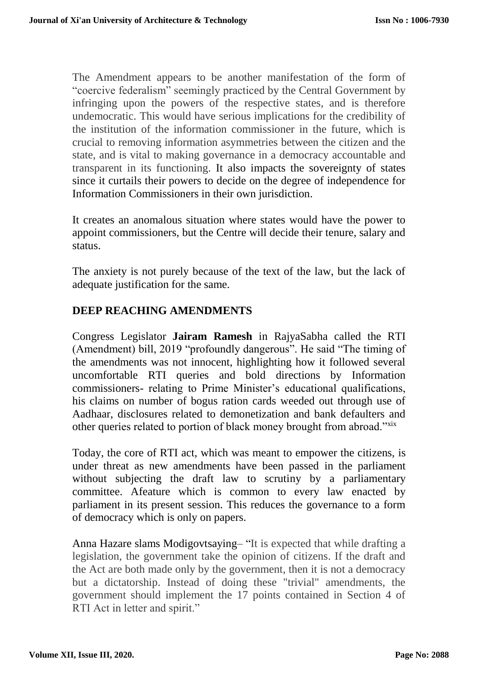The Amendment appears to be another manifestation of the form of "coercive federalism" seemingly practiced by the Central Government by infringing upon the powers of the respective states, and is therefore undemocratic. This would have serious implications for the credibility of the institution of the information commissioner in the future, which is crucial to removing information asymmetries between the citizen and the state, and is vital to making governance in a democracy accountable and transparent in its functioning. It also impacts the sovereignty of states since it curtails their powers to decide on the degree of independence for Information Commissioners in their own jurisdiction.

It creates an anomalous situation where states would have the power to appoint commissioners, but the Centre will decide their tenure, salary and status.

The anxiety is not purely because of the text of the law, but the lack of adequate justification for the same.

## **DEEP REACHING AMENDMENTS**

Congress Legislator **Jairam Ramesh** in RajyaSabha called the RTI (Amendment) bill, 2019 "profoundly dangerous". He said "The timing of the amendments was not innocent, highlighting how it followed several uncomfortable RTI queries and bold directions by Information commissioners- relating to Prime Minister's educational qualifications, his claims on number of bogus ration cards weeded out through use of Aadhaar, disclosures related to demonetization and bank defaulters and other queries related to portion of black money brought from abroad."xix

Today, the core of RTI act, which was meant to empower the citizens, is under threat as new amendments have been passed in the parliament without subjecting the draft law to scrutiny by a parliamentary committee. Afeature which is common to every law enacted by parliament in its present session. This reduces the governance to a form of democracy which is only on papers.

Anna Hazare slams Modigovtsaying– "It is expected that while drafting a legislation, the government take the opinion of citizens. If the draft and the Act are both made only by the government, then it is not a democracy but a dictatorship. Instead of doing these "trivial" amendments, the government should implement the 17 points contained in Section 4 of RTI Act in letter and spirit."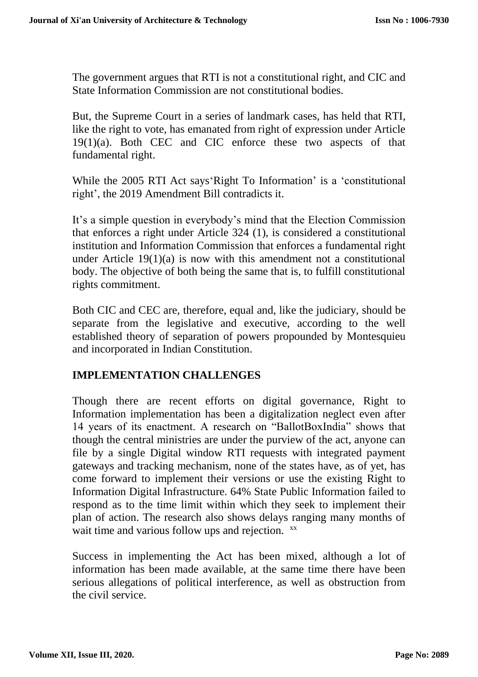The government argues that RTI is not a constitutional right, and CIC and State Information Commission are not constitutional bodies.

But, the Supreme Court in a series of landmark cases, has held that RTI, like the right to vote, has emanated from right of expression under Article 19(1)(a). Both CEC and CIC enforce these two aspects of that fundamental right.

While the 2005 RTI Act says'Right To Information' is a 'constitutional right', the 2019 Amendment Bill contradicts it.

It's a simple question in everybody's mind that the Election Commission that enforces a right under Article 324 (1), is considered a constitutional institution and Information Commission that enforces a fundamental right under Article 19(1)(a) is now with this amendment not a constitutional body. The objective of both being the same that is, to fulfill constitutional rights commitment.

Both CIC and CEC are, therefore, equal and, like the judiciary, should be separate from the legislative and executive, according to the well established theory of separation of powers propounded by Montesquieu and incorporated in Indian Constitution.

#### **IMPLEMENTATION CHALLENGES**

Though there are recent efforts on digital governance, Right to Information implementation has been a digitalization neglect even after 14 years of its enactment. A research on "BallotBoxIndia" shows that though the central ministries are under the purview of the act, anyone can file by a single Digital window RTI requests with integrated payment gateways and tracking mechanism, none of the states have, as of yet, has come forward to implement their versions or use the existing Right to Information Digital Infrastructure. 64% State Public Information failed to respond as to the time limit within which they seek to implement their plan of action. The research also shows delays ranging many months of wait time and various follow ups and rejection. xx

Success in implementing the Act has been mixed, although a lot of information has been made available, at the same time there have been serious allegations of political interference, as well as obstruction from the civil service.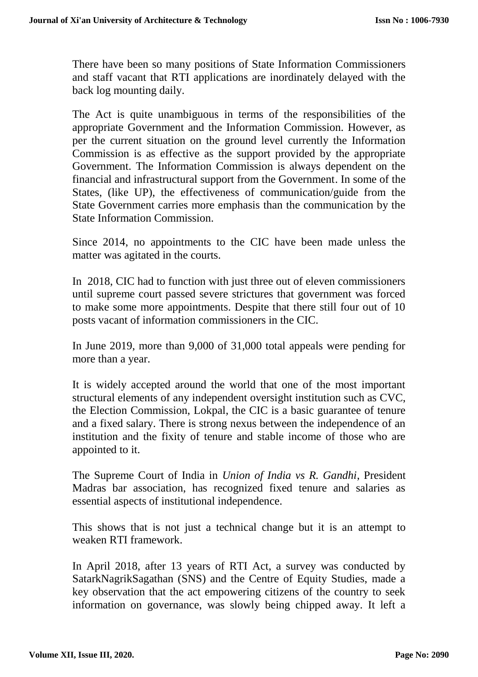There have been so many positions of State Information Commissioners and staff vacant that RTI applications are inordinately delayed with the back log mounting daily.

The Act is quite unambiguous in terms of the responsibilities of the appropriate Government and the Information Commission. However, as per the current situation on the ground level currently the Information Commission is as effective as the support provided by the appropriate Government. The Information Commission is always dependent on the financial and infrastructural support from the Government. In some of the States, (like UP), the effectiveness of communication/guide from the State Government carries more emphasis than the communication by the State Information Commission.

Since 2014, no appointments to the CIC have been made unless the matter was agitated in the courts.

In 2018, CIC had to function with just three out of eleven commissioners until supreme court passed severe strictures that government was forced to make some more appointments. Despite that there still four out of 10 posts vacant of information commissioners in the CIC.

In June 2019, more than 9,000 of 31,000 total appeals were pending for more than a year.

It is widely accepted around the world that one of the most important structural elements of any independent oversight institution such as CVC, the Election Commission, Lokpal, the CIC is a basic guarantee of tenure and a fixed salary. There is strong nexus between the independence of an institution and the fixity of tenure and stable income of those who are appointed to it.

The Supreme Court of India in *Union of India vs R. Gandhi*, President Madras bar association, has recognized fixed tenure and salaries as essential aspects of institutional independence.

This shows that is not just a technical change but it is an attempt to weaken RTI framework.

In April 2018, after 13 years of RTI Act, a survey was conducted by SatarkNagrikSagathan (SNS) and the Centre of Equity Studies, made a key observation that the act empowering citizens of the country to seek information on governance, was slowly being chipped away. It left a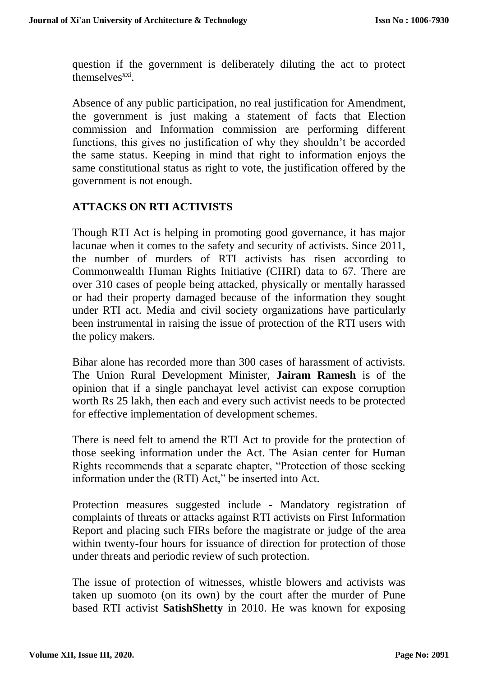question if the government is deliberately diluting the act to protect themselves $^{xxi}$ .

Absence of any public participation, no real justification for Amendment, the government is just making a statement of facts that Election commission and Information commission are performing different functions, this gives no justification of why they shouldn't be accorded the same status. Keeping in mind that right to information enjoys the same constitutional status as right to vote, the justification offered by the government is not enough.

# **ATTACKS ON RTI ACTIVISTS**

Though RTI Act is helping in promoting good governance, it has major lacunae when it comes to the safety and security of activists. Since 2011, the number of murders of RTI activists has risen according to Commonwealth Human Rights Initiative (CHRI) data to 67. There are over 310 cases of people being attacked, physically or mentally harassed or had their property damaged because of the information they sought under RTI act. Media and civil society organizations have particularly been instrumental in raising the issue of protection of the RTI users with the policy makers.

Bihar alone has recorded more than 300 cases of harassment of activists. The Union Rural Development Minister, **Jairam Ramesh** is of the opinion that if a single panchayat level activist can expose corruption worth Rs 25 lakh, then each and every such activist needs to be protected for effective implementation of development schemes.

There is need felt to amend the RTI Act to provide for the protection of those seeking information under the Act. The Asian center for Human Rights recommends that a separate chapter, "Protection of those seeking information under the (RTI) Act," be inserted into Act.

Protection measures suggested include - Mandatory registration of complaints of threats or attacks against RTI activists on First Information Report and placing such FIRs before the magistrate or judge of the area within twenty-four hours for issuance of direction for protection of those under threats and periodic review of such protection.

The issue of protection of witnesses, whistle blowers and activists was taken up suomoto (on its own) by the court after the murder of Pune based RTI activist **SatishShetty** in 2010. He was known for exposing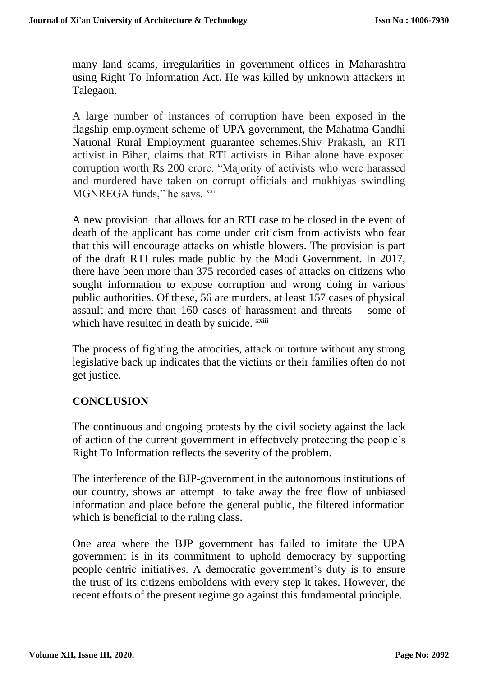many land scams, irregularities in government offices in Maharashtra using Right To Information Act. He was killed by unknown attackers in Talegaon.

A large number of instances of corruption have been exposed in the flagship employment scheme of UPA government, the Mahatma Gandhi National Rural Employment guarantee schemes.Shiv Prakash, an RTI activist in Bihar, claims that RTI activists in Bihar alone have exposed corruption worth Rs 200 crore. "Majority of activists who were harassed and murdered have taken on corrupt officials and mukhiyas swindling MGNREGA funds," he says. xxii

A new provision that allows for an RTI case to be closed in the event of death of the applicant has come under criticism from activists who fear that this will encourage attacks on whistle blowers. The provision is part of the draft RTI rules made public by the Modi Government. In 2017, there have been more than 375 recorded cases of attacks on citizens who sought information to expose corruption and wrong doing in various public authorities. Of these, 56 are murders, at least 157 cases of physical assault and more than 160 cases of harassment and threats – some of which have resulted in death by suicide.  $^{xxiii}$ 

The process of fighting the atrocities, attack or torture without any strong legislative back up indicates that the victims or their families often do not get justice.

#### **CONCLUSION**

The continuous and ongoing protests by the civil society against the lack of action of the current government in effectively protecting the people's Right To Information reflects the severity of the problem.

The interference of the BJP-government in the autonomous institutions of our country, shows an attempt to take away the free flow of unbiased information and place before the general public, the filtered information which is beneficial to the ruling class.

One area where the BJP government has failed to imitate the UPA government is in its commitment to uphold democracy by supporting people-centric initiatives. A democratic government's duty is to ensure the trust of its citizens emboldens with every step it takes. However, the recent efforts of the present regime go against this fundamental principle.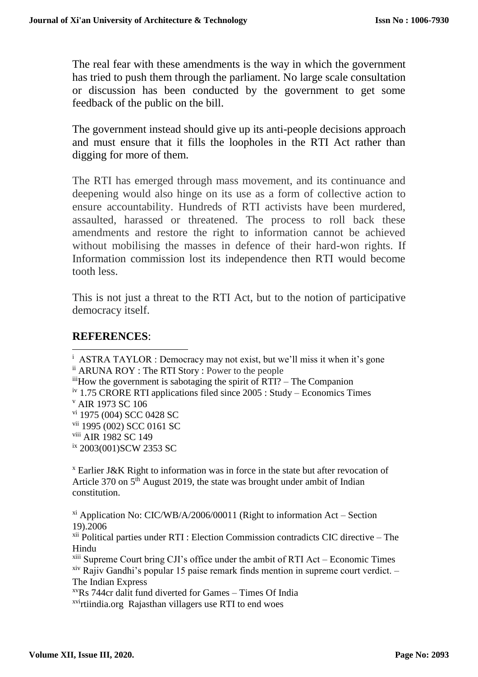The real fear with these amendments is the way in which the government has tried to push them through the parliament. No large scale consultation or discussion has been conducted by the government to get some feedback of the public on the bill.

The government instead should give up its anti-people decisions approach and must ensure that it fills the loopholes in the RTI Act rather than digging for more of them.

The RTI has emerged through mass movement, and its continuance and deepening would also hinge on its use as a form of collective action to ensure accountability. Hundreds of RTI activists have been murdered, assaulted, harassed or threatened. The process to roll back these amendments and restore the right to information cannot be achieved without mobilising the masses in defence of their hard-won rights. If Information commission lost its independence then RTI would become tooth less.

This is not just a threat to the RTI Act, but to the notion of participative democracy itself.

## **REFERENCES**:

 $\overline{a}$ 

<sup>i</sup> ASTRA TAYLOR : Democracy may not exist, but we'll miss it when it's gone ii ARUNA ROY : The RTI Story : Power to the people

 $\ddot{m}$ How the government is sabotaging the spirit of RTI? – The Companion

 $\frac{1}{10}$  iv 1.75 CRORE RTI applications filed since 2005 : Study – Economics Times <sup>v</sup> AIR 1973 SC 106

vi 1975 (004) SCC 0428 SC

vii 1995 (002) SCC 0161 SC viii AIR 1982 SC 149

ix 2003(001)SCW 2353 SC

<sup>x</sup> Earlier J&K Right to information was in force in the state but after revocation of Article 370 on  $5<sup>th</sup>$  August 2019, the state was brought under ambit of Indian constitution.

 $x_i$ <sup>xi</sup> Application No: CIC/WB/A/2006/00011 (Right to information Act – Section 19).2006

xii Political parties under RTI : Election Commission contradicts CIC directive – The Hindu

 $x$ <sup>xiii</sup> Supreme Court bring CJI's office under the ambit of RTI Act – Economic Times  $x$ <sup>iv</sup> Rajiv Gandhi's popular 15 paise remark finds mention in supreme court verdict.  $-$ The Indian Express

xvRs 744cr dalit fund diverted for Games – Times Of India xvirtiindia.org Rajasthan villagers use RTI to end woes